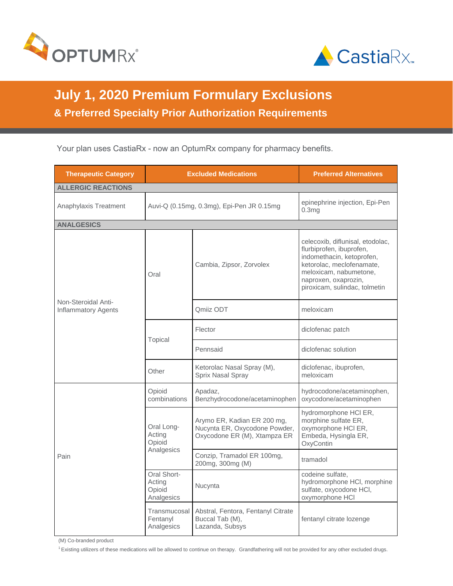



## **July 1, 2020 Premium Formulary Exclusions & Preferred Specialty Prior Authorization Requirements**

Your plan uses CastiaRx - now an OptumRx company for pharmacy benefits.

| <b>Therapeutic Category</b>                       |                                               | <b>Excluded Medications</b>                                                                  | <b>Preferred Alternatives</b>                                                                                                                                                                             |
|---------------------------------------------------|-----------------------------------------------|----------------------------------------------------------------------------------------------|-----------------------------------------------------------------------------------------------------------------------------------------------------------------------------------------------------------|
| <b>ALLERGIC REACTIONS</b>                         |                                               |                                                                                              |                                                                                                                                                                                                           |
| Anaphylaxis Treatment                             |                                               | Auvi-Q (0.15mg, 0.3mg), Epi-Pen JR 0.15mg                                                    | epinephrine injection, Epi-Pen<br>0.3 <sub>ma</sub>                                                                                                                                                       |
| <b>ANALGESICS</b>                                 |                                               |                                                                                              |                                                                                                                                                                                                           |
| Non-Steroidal Anti-<br><b>Inflammatory Agents</b> | Oral                                          | Cambia, Zipsor, Zorvolex                                                                     | celecoxib, diflunisal, etodolac,<br>flurbiprofen, ibuprofen,<br>indomethacin, ketoprofen,<br>ketorolac, meclofenamate,<br>meloxicam, nabumetone,<br>naproxen, oxaprozin,<br>piroxicam, sulindac, tolmetin |
|                                                   |                                               | Qmiiz ODT                                                                                    | meloxicam                                                                                                                                                                                                 |
|                                                   | Topical                                       | Flector                                                                                      | diclofenac patch                                                                                                                                                                                          |
|                                                   |                                               | Pennsaid                                                                                     | diclofenac solution                                                                                                                                                                                       |
|                                                   | Other                                         | Ketorolac Nasal Spray (M),<br>Sprix Nasal Spray                                              | diclofenac, ibuprofen,<br>meloxicam                                                                                                                                                                       |
| Pain                                              | Opioid<br>combinations                        | Apadaz,<br>Benzhydrocodone/acetaminophen                                                     | hydrocodone/acetaminophen,<br>oxycodone/acetaminophen                                                                                                                                                     |
|                                                   | Oral Long-<br>Acting<br>Opioid<br>Analgesics  | Arymo ER, Kadian ER 200 mg,<br>Nucynta ER, Oxycodone Powder,<br>Oxycodone ER (M), Xtampza ER | hydromorphone HCI ER,<br>morphine sulfate ER,<br>oxymorphone HCI ER,<br>Embeda, Hysingla ER,<br>OxyContin                                                                                                 |
|                                                   |                                               | Conzip, Tramadol ER 100mg,<br>200mg, 300mg (M)                                               | tramadol                                                                                                                                                                                                  |
|                                                   | Oral Short-<br>Acting<br>Opioid<br>Analgesics | Nucynta                                                                                      | codeine sulfate,<br>hydromorphone HCI, morphine<br>sulfate, oxycodone HCI,<br>oxymorphone HCI                                                                                                             |
|                                                   | Transmucosal<br>Fentanyl<br>Analgesics        | Abstral, Fentora, Fentanyl Citrate<br>Buccal Tab (M),<br>Lazanda, Subsys                     | fentanyl citrate lozenge                                                                                                                                                                                  |

(M) Co-branded product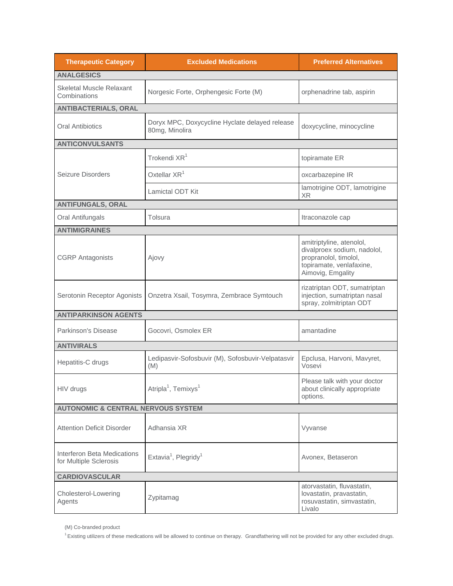| <b>Therapeutic Category</b>                           | <b>Excluded Medications</b>                                      | <b>Preferred Alternatives</b>                                                                                                     |  |
|-------------------------------------------------------|------------------------------------------------------------------|-----------------------------------------------------------------------------------------------------------------------------------|--|
| <b>ANALGESICS</b>                                     |                                                                  |                                                                                                                                   |  |
| <b>Skeletal Muscle Relaxant</b><br>Combinations       | Norgesic Forte, Orphengesic Forte (M)                            | orphenadrine tab, aspirin                                                                                                         |  |
| <b>ANTIBACTERIALS, ORAL</b>                           |                                                                  |                                                                                                                                   |  |
| <b>Oral Antibiotics</b>                               | Doryx MPC, Doxycycline Hyclate delayed release<br>80mg, Minolira | doxycycline, minocycline                                                                                                          |  |
| <b>ANTICONVULSANTS</b>                                |                                                                  |                                                                                                                                   |  |
|                                                       | Trokendi XR <sup>1</sup>                                         | topiramate ER                                                                                                                     |  |
| Seizure Disorders                                     | Oxtellar XR <sup>1</sup>                                         | oxcarbazepine IR                                                                                                                  |  |
|                                                       | Lamictal ODT Kit                                                 | lamotrigine ODT, lamotrigine<br><b>XR</b>                                                                                         |  |
| <b>ANTIFUNGALS, ORAL</b>                              |                                                                  |                                                                                                                                   |  |
| Oral Antifungals                                      | Tolsura                                                          | Itraconazole cap                                                                                                                  |  |
| <b>ANTIMIGRAINES</b>                                  |                                                                  |                                                                                                                                   |  |
| <b>CGRP</b> Antagonists                               | Ajovy                                                            | amitriptyline, atenolol,<br>divalproex sodium, nadolol,<br>propranolol, timolol,<br>topiramate, venlafaxine,<br>Aimovig, Emgality |  |
| Serotonin Receptor Agonists                           | Onzetra Xsail, Tosymra, Zembrace Symtouch                        | rizatriptan ODT, sumatriptan<br>injection, sumatriptan nasal<br>spray, zolmitriptan ODT                                           |  |
| <b>ANTIPARKINSON AGENTS</b>                           |                                                                  |                                                                                                                                   |  |
| Parkinson's Disease                                   | Gocovri, Osmolex ER                                              | amantadine                                                                                                                        |  |
| <b>ANTIVIRALS</b>                                     |                                                                  |                                                                                                                                   |  |
| Hepatitis-C drugs                                     | Ledipasvir-Sofosbuvir (M), Sofosbuvir-Velpatasvir<br>(M)         | Epclusa, Harvoni, Mavyret,<br>Vosevi                                                                                              |  |
| HIV drugs                                             | Atripla <sup>1</sup> , Temixys <sup>1</sup>                      | Please talk with your doctor<br>about clinically appropriate<br>options.                                                          |  |
| <b>AUTONOMIC &amp; CENTRAL NERVOUS SYSTEM</b>         |                                                                  |                                                                                                                                   |  |
| <b>Attention Deficit Disorder</b>                     | Adhansia XR                                                      | Vyvanse                                                                                                                           |  |
| Interferon Beta Medications<br>for Multiple Sclerosis | Extavia <sup>1</sup> , Plegridy <sup>1</sup>                     | Avonex, Betaseron                                                                                                                 |  |
| <b>CARDIOVASCULAR</b>                                 |                                                                  |                                                                                                                                   |  |
| Cholesterol-Lowering<br>Agents                        | Zypitamag                                                        | atorvastatin, fluvastatin,<br>lovastatin, pravastatin,<br>rosuvastatin, simvastatin,<br>Livalo                                    |  |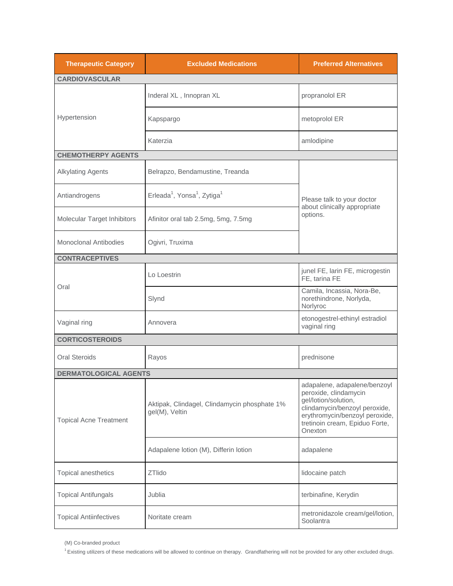| <b>Therapeutic Category</b>   | <b>Excluded Medications</b>                                     | <b>Preferred Alternatives</b>                                                                                                                                                                 |  |
|-------------------------------|-----------------------------------------------------------------|-----------------------------------------------------------------------------------------------------------------------------------------------------------------------------------------------|--|
| <b>CARDIOVASCULAR</b>         |                                                                 |                                                                                                                                                                                               |  |
| Hypertension                  | Inderal XL, Innopran XL                                         | propranolol ER                                                                                                                                                                                |  |
|                               | Kapspargo                                                       | metoprolol ER                                                                                                                                                                                 |  |
|                               | Katerzia                                                        | amlodipine                                                                                                                                                                                    |  |
| <b>CHEMOTHERPY AGENTS</b>     |                                                                 |                                                                                                                                                                                               |  |
| <b>Alkylating Agents</b>      | Belrapzo, Bendamustine, Treanda                                 |                                                                                                                                                                                               |  |
| Antiandrogens                 | Erleada <sup>1</sup> , Yonsa <sup>1</sup> , Zytiga <sup>1</sup> | Please talk to your doctor<br>about clinically appropriate<br>options.                                                                                                                        |  |
| Molecular Target Inhibitors   | Afinitor oral tab 2.5mg, 5mg, 7.5mg                             |                                                                                                                                                                                               |  |
| Monoclonal Antibodies         | Ogivri, Truxima                                                 |                                                                                                                                                                                               |  |
| <b>CONTRACEPTIVES</b>         |                                                                 |                                                                                                                                                                                               |  |
|                               | Lo Loestrin                                                     | junel FE, larin FE, microgestin<br>FE, tarina FE                                                                                                                                              |  |
| Oral                          | Slynd                                                           | Camila, Incassia, Nora-Be,<br>norethindrone, Norlyda,<br>Norlyroc                                                                                                                             |  |
| Vaginal ring                  | Annovera                                                        | etonogestrel-ethinyl estradiol<br>vaginal ring                                                                                                                                                |  |
| <b>CORTICOSTEROIDS</b>        |                                                                 |                                                                                                                                                                                               |  |
| <b>Oral Steroids</b>          | Rayos                                                           | prednisone                                                                                                                                                                                    |  |
| <b>DERMATOLOGICAL AGENTS</b>  |                                                                 |                                                                                                                                                                                               |  |
| <b>Topical Acne Treatment</b> | Aktipak, Clindagel, Clindamycin phosphate 1%<br>gel(M), Veltin  | adapalene, adapalene/benzoyl<br>peroxide, clindamycin<br>gel/lotion/solution,<br>clindamycin/benzoyl peroxide,<br>erythromycin/benzoyl peroxide,<br>tretinoin cream, Epiduo Forte,<br>Onexton |  |
|                               | Adapalene lotion (M), Differin lotion                           | adapalene                                                                                                                                                                                     |  |
| Topical anesthetics           | ZTlido                                                          | lidocaine patch                                                                                                                                                                               |  |
| <b>Topical Antifungals</b>    | Jublia                                                          | terbinafine, Kerydin                                                                                                                                                                          |  |
| <b>Topical Antiinfectives</b> | Noritate cream                                                  | metronidazole cream/gel/lotion,<br>Soolantra                                                                                                                                                  |  |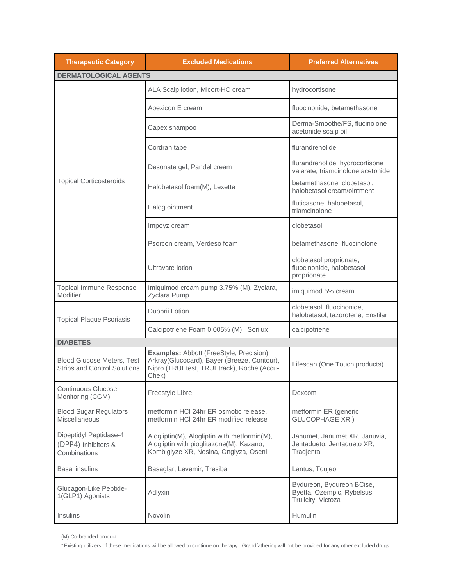| <b>Therapeutic Category</b>                                              | <b>Excluded Medications</b>                                                                                                                   | <b>Preferred Alternatives</b>                                                 |
|--------------------------------------------------------------------------|-----------------------------------------------------------------------------------------------------------------------------------------------|-------------------------------------------------------------------------------|
| <b>DERMATOLOGICAL AGENTS</b>                                             |                                                                                                                                               |                                                                               |
|                                                                          | ALA Scalp lotion, Micort-HC cream                                                                                                             | hydrocortisone                                                                |
|                                                                          | Apexicon E cream                                                                                                                              | fluocinonide, betamethasone                                                   |
|                                                                          | Capex shampoo                                                                                                                                 | Derma-Smoothe/FS, flucinolone<br>acetonide scalp oil                          |
|                                                                          | Cordran tape                                                                                                                                  | flurandrenolide                                                               |
|                                                                          | Desonate gel, Pandel cream                                                                                                                    | flurandrenolide, hydrocortisone<br>valerate, triamcinolone acetonide          |
| <b>Topical Corticosteroids</b>                                           | Halobetasol foam(M), Lexette                                                                                                                  | betamethasone, clobetasol,<br>halobetasol cream/ointment                      |
|                                                                          | Halog ointment                                                                                                                                | fluticasone, halobetasol,<br>triamcinolone                                    |
|                                                                          | Impoyz cream                                                                                                                                  | clobetasol                                                                    |
|                                                                          | Psorcon cream, Verdeso foam                                                                                                                   | betamethasone, fluocinolone                                                   |
|                                                                          | Ultravate lotion                                                                                                                              | clobetasol proprionate,<br>fluocinonide, halobetasol<br>proprionate           |
| <b>Topical Immune Response</b><br>Modifier                               | Imiquimod cream pump 3.75% (M), Zyclara,<br>Zyclara Pump                                                                                      | imiquimod 5% cream                                                            |
| <b>Topical Plaque Psoriasis</b>                                          | Duobrii Lotion                                                                                                                                | clobetasol, fluocinonide,<br>halobetasol, tazorotene, Enstilar                |
|                                                                          | Calcipotriene Foam 0.005% (M), Sorilux                                                                                                        | calcipotriene                                                                 |
| <b>DIABETES</b>                                                          |                                                                                                                                               |                                                                               |
| <b>Blood Glucose Meters, Test</b><br><b>Strips and Control Solutions</b> | Examples: Abbott (FreeStyle, Precision),<br>Arkray(Glucocard), Bayer (Breeze, Contour),<br>Nipro (TRUEtest, TRUEtrack), Roche (Accu-<br>Chek) | Lifescan (One Touch products)                                                 |
| <b>Continuous Glucose</b><br>Monitoring (CGM)                            | Freestyle Libre                                                                                                                               | Dexcom                                                                        |
| <b>Blood Sugar Regulators</b><br>Miscellaneous                           | metformin HCI 24hr ER osmotic release,<br>metformin HCI 24hr ER modified release                                                              | metformin ER (generic<br><b>GLUCOPHAGE XR)</b>                                |
| Dipeptidyl Peptidase-4<br>(DPP4) Inhibitors &<br>Combinations            | Alogliptin(M), Alogliptin with metformin(M),<br>Alogliptin with pioglitazone(M), Kazano,<br>Kombiglyze XR, Nesina, Onglyza, Oseni             | Janumet, Janumet XR, Januvia,<br>Jentadueto, Jentadueto XR,<br>Tradjenta      |
| <b>Basal insulins</b>                                                    | Basaglar, Levemir, Tresiba                                                                                                                    | Lantus, Toujeo                                                                |
| Glucagon-Like Peptide-<br>1(GLP1) Agonists                               | Adlyxin                                                                                                                                       | Bydureon, Bydureon BCise,<br>Byetta, Ozempic, Rybelsus,<br>Trulicity, Victoza |
| Insulins                                                                 | Novolin                                                                                                                                       | Humulin                                                                       |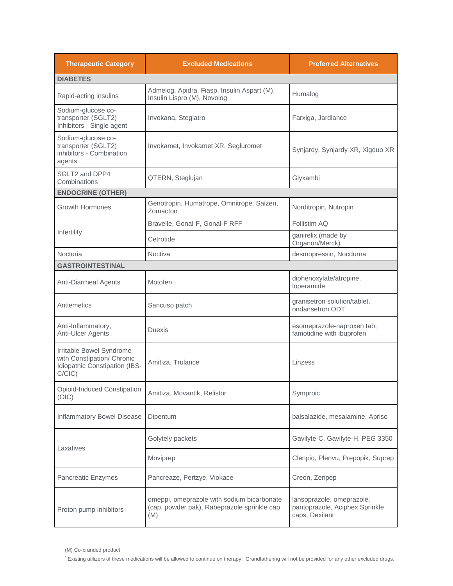| <b>Therapeutic Category</b>                                                                          | <b>Excluded Medications</b>                                                                      | <b>Preferred Alternatives</b>                                                 |
|------------------------------------------------------------------------------------------------------|--------------------------------------------------------------------------------------------------|-------------------------------------------------------------------------------|
| <b>DIABETES</b>                                                                                      |                                                                                                  |                                                                               |
| Rapid-acting insulins                                                                                | Admelog, Apidra, Fiasp, Insulin Aspart (M),<br>Insulin Lispro (M), Novolog                       | Humalog                                                                       |
| Sodium-glucose co-<br>transporter (SGLT2)<br>Inhibitors - Single agent                               | Invokana, Steglatro                                                                              | Farxiga, Jardiance                                                            |
| Sodium-glucose co-<br>transporter (SGLT2)<br>inhibitors - Combination<br>agents                      | Invokamet, Invokamet XR, Segluromet                                                              | Synjardy, Synjardy XR, Xigduo XR                                              |
| SGLT2 and DPP4<br>Combinations                                                                       | QTERN, Steglujan                                                                                 | Glyxambi                                                                      |
| <b>ENDOCRINE (OTHER)</b>                                                                             |                                                                                                  |                                                                               |
| <b>Growth Hormones</b>                                                                               | Genotropin, Humatrope, Omnitrope, Saizen,<br>Zomacton                                            | Norditropin, Nutropin                                                         |
|                                                                                                      | Bravelle, Gonal-F, Gonal-F RFF                                                                   | Follistim AQ                                                                  |
| Infertility                                                                                          | Cetrotide                                                                                        | ganirelix (made by<br>Organon/Merck)                                          |
| Nocturia                                                                                             | Noctiva                                                                                          | desmopressin, Nocdurna                                                        |
| <b>GASTROINTESTINAL</b>                                                                              |                                                                                                  |                                                                               |
| <b>Anti-Diarrheal Agents</b>                                                                         | Motofen                                                                                          | diphenoxylate/atropine,<br>loperamide                                         |
| Antiemetics                                                                                          | Sancuso patch                                                                                    | granisetron solution/tablet,<br>ondansetron ODT                               |
| Anti-Inflammatory,<br>Anti-Ulcer Agents                                                              | Duexis                                                                                           | esomeprazole-naproxen tab,<br>famotidine with ibuprofen                       |
| Irritable Bowel Syndrome<br>with Constipation/ Chronic<br>Idiopathic Constipation (IBS-<br>$C/CIC$ ) | Amitiza, Trulance                                                                                | Linzess                                                                       |
| Opioid-Induced Constipation<br>(OIC)                                                                 | Amitiza, Movantik, Relistor                                                                      | Symproic                                                                      |
| Inflammatory Bowel Disease                                                                           | Dipentum                                                                                         | balsalazide, mesalamine, Apriso                                               |
| Laxatives                                                                                            | Golytely packets                                                                                 | Gavilyte-C, Gavilyte-H, PEG 3350                                              |
|                                                                                                      | Moviprep                                                                                         | Clenpiq, Plenvu, Prepopik, Suprep                                             |
| Pancreatic Enzymes                                                                                   | Pancreaze, Pertzye, Viokace                                                                      | Creon, Zenpep                                                                 |
| Proton pump inhibitors                                                                               | omeppi, omeprazole with sodium bicarbonate<br>(cap, powder pak), Rabeprazole sprinkle cap<br>(M) | lansoprazole, omeprazole,<br>pantoprazole, Aciphex Sprinkle<br>caps, Dexilant |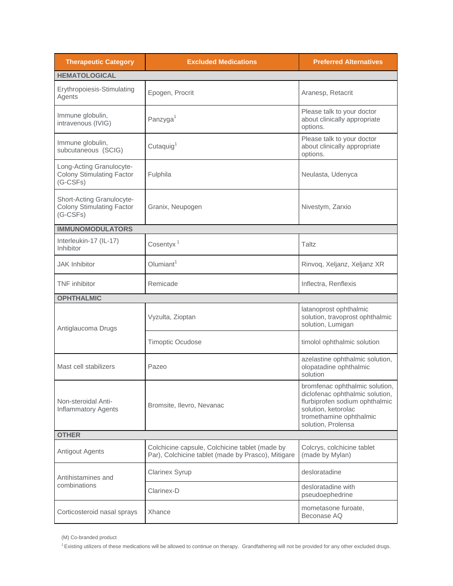| <b>Therapeutic Category</b>                                                 | <b>Excluded Medications</b>                                                                          | <b>Preferred Alternatives</b>                                                                                                                                               |
|-----------------------------------------------------------------------------|------------------------------------------------------------------------------------------------------|-----------------------------------------------------------------------------------------------------------------------------------------------------------------------------|
| <b>HEMATOLOGICAL</b>                                                        |                                                                                                      |                                                                                                                                                                             |
| Erythropoiesis-Stimulating<br>Agents                                        | Epogen, Procrit                                                                                      | Aranesp, Retacrit                                                                                                                                                           |
| Immune globulin,<br>intravenous (IVIG)                                      | Panzyga <sup>1</sup>                                                                                 | Please talk to your doctor<br>about clinically appropriate<br>options.                                                                                                      |
| Immune globulin,<br>subcutaneous (SCIG)                                     | Cutaquig <sup>1</sup>                                                                                | Please talk to your doctor<br>about clinically appropriate<br>options.                                                                                                      |
| Long-Acting Granulocyte-<br><b>Colony Stimulating Factor</b><br>$(G-CSFs)$  | Fulphila                                                                                             | Neulasta, Udenyca                                                                                                                                                           |
| Short-Acting Granulocyte-<br><b>Colony Stimulating Factor</b><br>$(G-CSFs)$ | Granix, Neupogen                                                                                     | Nivestym, Zarxio                                                                                                                                                            |
| <b>IMMUNOMODULATORS</b>                                                     |                                                                                                      |                                                                                                                                                                             |
| Interleukin-17 (IL-17)<br>Inhibitor                                         | Cosentyx <sup>1</sup>                                                                                | Taltz                                                                                                                                                                       |
| <b>JAK</b> Inhibitor                                                        | Olumiant <sup>1</sup>                                                                                | Rinvoq, Xeljanz, Xeljanz XR                                                                                                                                                 |
| <b>TNF</b> inhibitor                                                        | Remicade                                                                                             | Inflectra, Renflexis                                                                                                                                                        |
| <b>OPHTHALMIC</b>                                                           |                                                                                                      |                                                                                                                                                                             |
| Antiglaucoma Drugs                                                          | Vyzulta, Zioptan                                                                                     | latanoprost ophthalmic<br>solution, travoprost ophthalmic<br>solution, Lumigan                                                                                              |
|                                                                             | <b>Timoptic Ocudose</b>                                                                              | timolol ophthalmic solution                                                                                                                                                 |
| Mast cell stabilizers                                                       | Pazeo                                                                                                | azelastine ophthalmic solution,<br>olopatadine ophthalmic<br>solution                                                                                                       |
| Non-steroidal Anti-<br><b>Inflammatory Agents</b>                           | Bromsite, Ilevro, Nevanac                                                                            | bromfenac ophthalmic solution,<br>diclofenac ophthalmic solution,<br>flurbiprofen sodium ophthalmic<br>solution, ketorolac<br>tromethamine ophthalmic<br>solution, Prolensa |
| <b>OTHER</b>                                                                |                                                                                                      |                                                                                                                                                                             |
| <b>Antigout Agents</b>                                                      | Colchicine capsule, Colchicine tablet (made by<br>Par), Colchicine tablet (made by Prasco), Mitigare | Colcrys, colchicine tablet<br>(made by Mylan)                                                                                                                               |
| Antihistamines and                                                          | <b>Clarinex Syrup</b>                                                                                | desloratadine                                                                                                                                                               |
| combinations                                                                | Clarinex-D                                                                                           | desloratadine with<br>pseudoephedrine                                                                                                                                       |
| Corticosteroid nasal sprays                                                 | Xhance                                                                                               | mometasone furoate,<br>Beconase AQ                                                                                                                                          |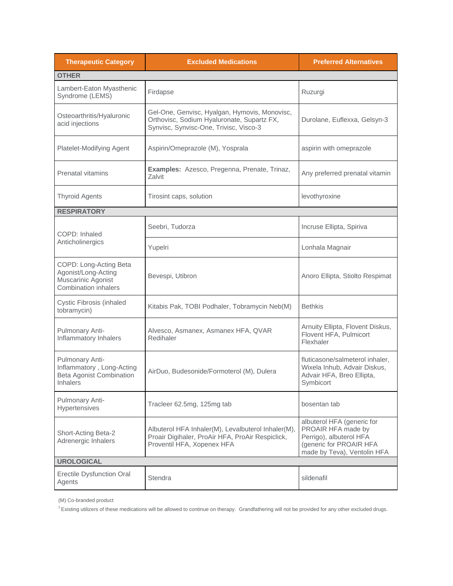| <b>Therapeutic Category</b>                                                                        | <b>Excluded Medications</b>                                                                                                           | <b>Preferred Alternatives</b>                                                                                                         |
|----------------------------------------------------------------------------------------------------|---------------------------------------------------------------------------------------------------------------------------------------|---------------------------------------------------------------------------------------------------------------------------------------|
| <b>OTHER</b>                                                                                       |                                                                                                                                       |                                                                                                                                       |
| Lambert-Eaton Myasthenic<br>Syndrome (LEMS)                                                        | Firdapse                                                                                                                              | Ruzurgi                                                                                                                               |
| Osteoarthritis/Hyaluronic<br>acid injections                                                       | Gel-One, Genvisc, Hyalgan, Hymovis, Monovisc,<br>Orthovisc, Sodium Hyaluronate, Supartz FX,<br>Synvisc, Synvisc-One, Trivisc, Visco-3 | Durolane, Euflexxa, Gelsyn-3                                                                                                          |
| Platelet-Modifying Agent                                                                           | Aspirin/Omeprazole (M), Yosprala                                                                                                      | aspirin with omeprazole                                                                                                               |
| <b>Prenatal vitamins</b>                                                                           | Examples: Azesco, Pregenna, Prenate, Trinaz,<br>Zalvit                                                                                | Any preferred prenatal vitamin                                                                                                        |
| <b>Thyroid Agents</b>                                                                              | Tirosint caps, solution                                                                                                               | levothyroxine                                                                                                                         |
| <b>RESPIRATORY</b>                                                                                 |                                                                                                                                       |                                                                                                                                       |
| COPD: Inhaled                                                                                      | Seebri, Tudorza                                                                                                                       | Incruse Ellipta, Spiriva                                                                                                              |
| Anticholinergics                                                                                   | Yupelri                                                                                                                               | Lonhala Magnair                                                                                                                       |
| COPD: Long-Acting Beta<br>Agonist/Long-Acting<br>Muscarinic Agonist<br><b>Combination inhalers</b> | Bevespi, Utibron                                                                                                                      | Anoro Ellipta, Stiolto Respimat                                                                                                       |
| Cystic Fibrosis (inhaled<br>tobramycin)                                                            | Kitabis Pak, TOBI Podhaler, Tobramycin Neb(M)                                                                                         | <b>Bethkis</b>                                                                                                                        |
| Pulmonary Anti-<br>Inflammatory Inhalers                                                           | Alvesco, Asmanex, Asmanex HFA, QVAR<br>Redihaler                                                                                      | Arnuity Ellipta, Flovent Diskus,<br>Flovent HFA, Pulmicort<br>Flexhaler                                                               |
| Pulmonary Anti-<br>Inflammatory, Long-Acting<br>Beta Agonist Combination<br>Inhalers               | AirDuo, Budesonide/Formoterol (M), Dulera                                                                                             | fluticasone/salmeterol inhaler.<br>Wixela Inhub, Advair Diskus,<br>Advair HFA, Breo Ellipta,<br>Symbicort                             |
| Pulmonary Anti-<br>Hypertensives                                                                   | Tracleer 62.5mg, 125mg tab                                                                                                            | bosentan tab                                                                                                                          |
| Short-Acting Beta-2<br>Adrenergic Inhalers                                                         | Albuterol HFA Inhaler(M), Levalbuterol Inhaler(M),<br>Proair Digihaler, ProAir HFA, ProAir Respiclick,<br>Proventil HFA, Xopenex HFA  | albuterol HFA (generic for<br>PROAIR HFA made by<br>Perrigo), albuterol HFA<br>(generic for PROAIR HFA<br>made by Teva), Ventolin HFA |
| <b>UROLOGICAL</b>                                                                                  |                                                                                                                                       |                                                                                                                                       |
| <b>Erectile Dysfunction Oral</b><br>Agents                                                         | Stendra                                                                                                                               | sildenafil                                                                                                                            |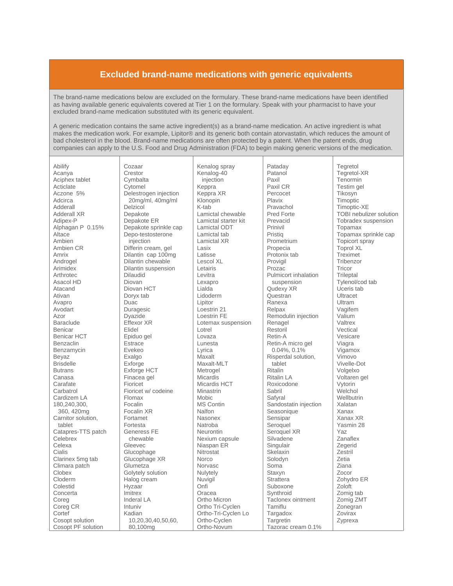## **Excluded brand-name medications with generic equivalents**

The brand-name medications below are excluded on the formulary. These brand-name medications have been identified as having available generic equivalents covered at Tier 1 on the formulary. Speak with your pharmacist to have your excluded brand-name medication substituted with its generic equivalent.

A generic medication contains the same active ingredient(s) as a brand-name medication. An active ingredient is what makes the medication work. For example, Lipitor® and its generic both contain atorvastatin, which reduces the amount of bad cholesterol in the blood. Brand-name medications are often protected by a patent. When the patent ends, drug companies can apply to the U.S. Food and Drug Administration (FDA) to begin making generic versions of the medication.

| Abilify                               |
|---------------------------------------|
| Acanya                                |
| Aciphex tablet                        |
| Acticlate                             |
| 5%<br>Aczone                          |
|                                       |
| Adcirca                               |
| Adderall                              |
| Adderall XR                           |
| Adipex-P                              |
| Alphagan P 0.15%                      |
| Altace                                |
| Ambien                                |
| Ambien CR                             |
| Amrix                                 |
| Androgel                              |
| Arimidex                              |
| Arthrotec                             |
| Asacol HD                             |
| Atacand                               |
| Ativan                                |
| Avapro                                |
| Avodart                               |
| Azor                                  |
| Baraclude                             |
| Benicar                               |
| Benicar HCT                           |
| Benzaclin                             |
| Benzamycin                            |
| Beyaz                                 |
| <b>Brisdelle</b>                      |
| <b>Butrans</b>                        |
| Canasa                                |
| Carafate                              |
| Carbatrol                             |
| Cardizem LA                           |
| 180,240,300,                          |
| 360, 420mg                            |
| Carnitor solution,                    |
| tablet                                |
| Catapres-TTS patch                    |
| Celebrex                              |
|                                       |
| Celexa<br>Cialis                      |
| Clarinex 5mg tab                      |
| Climara patch                         |
| Clobex                                |
| Cloderm                               |
| Colestid                              |
| Concerta                              |
|                                       |
| Coreg                                 |
| Coreg CR                              |
| Cortef                                |
| Cosopt solution<br>Cosopt PF solution |
|                                       |

Cozaar Crestor Cymbalta Cytomel Delestrogen injection 20mg/ml, 40mg/ml Delzicol Denakote Depakote ER Depakote sprinkle cap Depo-testosterone injection Differin cream, gel Dilantin cap 100mg Dilantin chewable Dilantin suspension **Dilaudid** Diovan Diovan HCT Doryx tab Duac Duragesic Dvazide Effexor XR Flidel Epiduo gel Estrace Evekeo Exalgo Exforge Exforge HCT Finacea gel Fioricet Fioricet w/ codeine Flomax Focalin Focalin XR Fortamet **Fortesta** Generess FE chewable Gleevec Glucophage Glucophage XR Glumetza Golytely solution Halog cream Hvzaar Imitrex Inderal LA Intuniv Kadian 10.20.30.40.50.60. 80,100mg

Kenalog spray Kenalog-40 injection Keppra Keppra XR Klonopin K-tab Lamictal chewable Lamictal starter kit Lamictal ODT Lamictal tab Lamictal XR Lasix I atisse Lescol XL Letairis Levitra Lexapro Lialda Lidoderm Lipitor Loestrin 21 Loestrin FF Lotemax suspension I otrel Lovaza Lunesta Lyrica Maxalt Maxalt-MLT Metrogel Micardis Micardis HCT Minastrin **Mobic MS Contin** Nalfon Nasonex Natroba Neurontin Nexium capsule Niaspan ER Nitrostat **Norco** Norvasc Nulytely Nuviail Onfi Oracea Ortho Micron Ortho Tri-Cyclen Ortho-Tri-Cyclen Lo Ortho-Cyclen Ortho-Novum

Pataday Patanol Paxil Paxil CR Percocet Plavix Pravachol Pred Forte Prevacid Prinivil Pristig Prometrium Propecia Protonix tab Provigil Prozac Pulmicort inhalation suspension Qudexy XR Questran Ranexa Relpax Remodulin injection Renagel Restoril Retin-A Retin-A micro gel  $0.04\%$ ,  $0.1\%$ Risperdal solution, tablet Ritalin **Ritalin LA** Roxicodone Sabril Safyral Sandostatin injection Seasonique Sensipar Seroquel Seroquel XR Silvadene Singulair Skelaxin Solodyn Soma Staxyn Strattera Suboxone Svnthroid Taclonex ointment Tamiflu Targadox Targretin Tazorac cream 0.1%

Tegretol Tegretol-XR Tenormin Testim gel Tikosyn **Timoptic** Timoptic-XE TOBL nebulizer solution Tobradex suspension Topamax Topamax sprinkle cap Topicort spray Toprol XL Treximet Tribenzor Tricor Trileptal Tylenol/cod tab Liceris tab Ultracet Ultram Vagifem Valium Valtrex Vectical Vesicare Viagra Vigamox Vimovo Vivelle-Dot Volgelxo Voltaren gel Vytorin Welchol Wellbutrin Xalatan Xanax Xanax XR Yasmin 28 Yaz Zanaflex Zegerid Zestril Zetia Ziana Zocor Zohydro ER Zoloft Zomig tab Zomig ZMT Zonegran Zovirax Zyprexa